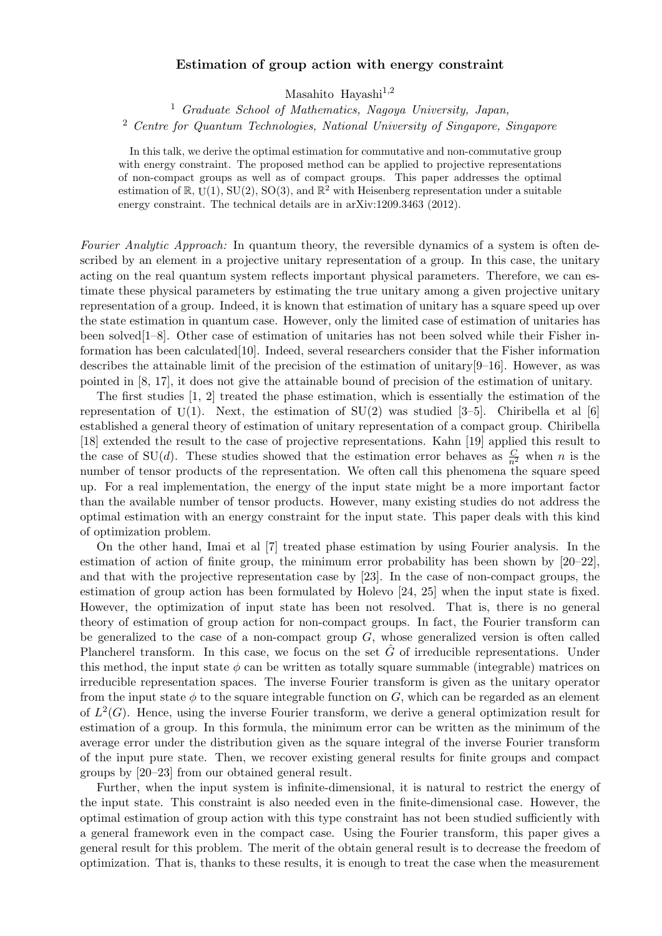## Estimation of group action with energy constraint

Masahito Hayashi $^{1,2}$ 

<sup>1</sup> Graduate School of Mathematics, Nagoya University, Japan, <sup>2</sup> Centre for Quantum Technologies, National University of Singapore, Singapore

In this talk, we derive the optimal estimation for commutative and non-commutative group with energy constraint. The proposed method can be applied to projective representations of non-compact groups as well as of compact groups. This paper addresses the optimal estimation of  $\mathbb{R}$ , U(1), SU(2), SO(3), and  $\mathbb{R}^2$  with Heisenberg representation under a suitable energy constraint. The technical details are in arXiv:1209.3463 (2012).

Fourier Analytic Approach: In quantum theory, the reversible dynamics of a system is often described by an element in a projective unitary representation of a group. In this case, the unitary acting on the real quantum system reflects important physical parameters. Therefore, we can estimate these physical parameters by estimating the true unitary among a given projective unitary representation of a group. Indeed, it is known that estimation of unitary has a square speed up over the state estimation in quantum case. However, only the limited case of estimation of unitaries has been solved[1–8]. Other case of estimation of unitaries has not been solved while their Fisher information has been calculated[10]. Indeed, several researchers consider that the Fisher information describes the attainable limit of the precision of the estimation of unitary[9–16]. However, as was pointed in [8, 17], it does not give the attainable bound of precision of the estimation of unitary.

The first studies [1, 2] treated the phase estimation, which is essentially the estimation of the representation of  $U(1)$ . Next, the estimation of  $SU(2)$  was studied [3-5]. Chiribella et al [6] established a general theory of estimation of unitary representation of a compact group. Chiribella [18] extended the result to the case of projective representations. Kahn [19] applied this result to the case of SU(d). These studies showed that the estimation error behaves as  $\frac{C}{n^2}$  when n is the number of tensor products of the representation. We often call this phenomena the square speed up. For a real implementation, the energy of the input state might be a more important factor than the available number of tensor products. However, many existing studies do not address the optimal estimation with an energy constraint for the input state. This paper deals with this kind of optimization problem.

On the other hand, Imai et al [7] treated phase estimation by using Fourier analysis. In the estimation of action of finite group, the minimum error probability has been shown by  $[20-22]$ , and that with the projective representation case by [23]. In the case of non-compact groups, the estimation of group action has been formulated by Holevo [24, 25] when the input state is fixed. However, the optimization of input state has been not resolved. That is, there is no general theory of estimation of group action for non-compact groups. In fact, the Fourier transform can be generalized to the case of a non-compact group  $G$ , whose generalized version is often called Plancherel transform. In this case, we focus on the set  $\tilde{G}$  of irreducible representations. Under this method, the input state  $\phi$  can be written as totally square summable (integrable) matrices on irreducible representation spaces. The inverse Fourier transform is given as the unitary operator from the input state  $\phi$  to the square integrable function on G, which can be regarded as an element of  $L^2(G)$ . Hence, using the inverse Fourier transform, we derive a general optimization result for estimation of a group. In this formula, the minimum error can be written as the minimum of the average error under the distribution given as the square integral of the inverse Fourier transform of the input pure state. Then, we recover existing general results for finite groups and compact groups by [20–23] from our obtained general result.

Further, when the input system is infinite-dimensional, it is natural to restrict the energy of the input state. This constraint is also needed even in the finite-dimensional case. However, the optimal estimation of group action with this type constraint has not been studied sufficiently with a general framework even in the compact case. Using the Fourier transform, this paper gives a general result for this problem. The merit of the obtain general result is to decrease the freedom of optimization. That is, thanks to these results, it is enough to treat the case when the measurement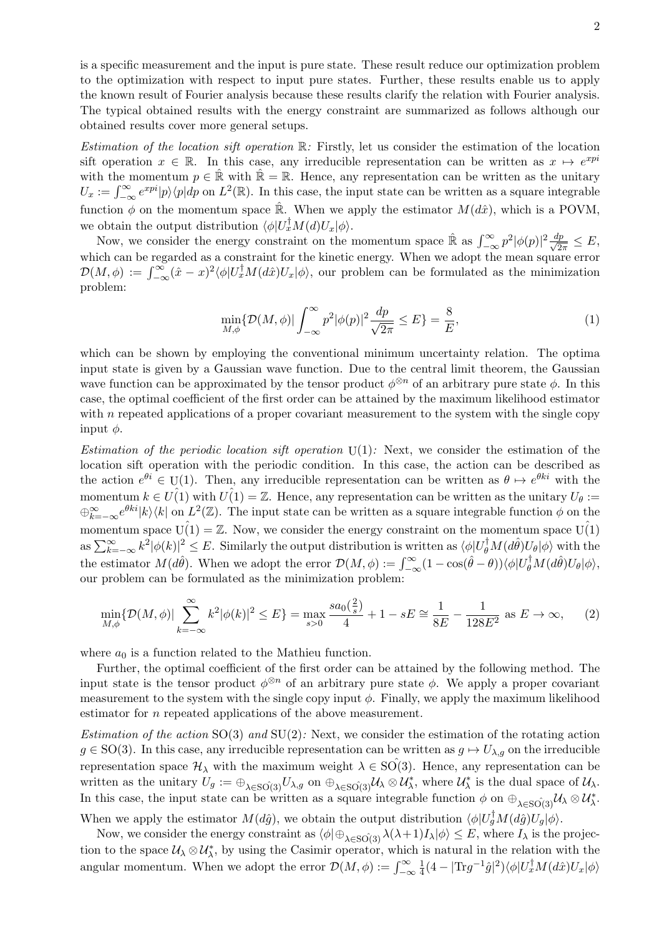is a specific measurement and the input is pure state. These result reduce our optimization problem to the optimization with respect to input pure states. Further, these results enable us to apply the known result of Fourier analysis because these results clarify the relation with Fourier analysis. The typical obtained results with the energy constraint are summarized as follows although our obtained results cover more general setups.

Estimation of the location sift operation  $\mathbb{R}$ : Firstly, let us consider the estimation of the location sift operation  $x \in \mathbb{R}$ . In this case, any irreducible representation can be written as  $x \mapsto e^{xp^i}$ with the momentum  $p \in \mathbb{R}$  with  $\mathbb{R} = \mathbb{R}$ . Hence, any representation can be written as the unitary  $U_x := \int_{-\infty}^{\infty} e^{xpi} |p\rangle\langle p| dp$  on  $L^2(\mathbb{R})$ . In this case, the input state can be written as a square integrable function  $\phi$  on the momentum space  $\hat{\mathbb{R}}$ . When we apply the estimator  $M(d\hat{x})$ , which is a POVM, we obtain the output distribution  $\langle \phi | U_x^{\dagger} M(d) U_x | \phi \rangle$ .

Now, we consider the energy constraint on the momentum space  $\hat{\mathbb{R}}$  as  $\int_{-\infty}^{\infty} p^2 |\phi(p)|^2 \frac{dp}{\sqrt{2\pi}} \leq E$ , which can be regarded as a constraint for the kinetic energy. When we adopt the mean square error  $\mathcal{D}(M,\phi) := \int_{-\infty}^{\infty} (\hat{x} - x)^2 \langle \phi | U_x^{\dagger} M(d\hat{x}) U_x | \phi \rangle$ , our problem can be formulated as the minimization problem:

$$
\min_{M,\phi} \{ \mathcal{D}(M,\phi) | \int_{-\infty}^{\infty} p^2 |\phi(p)|^2 \frac{dp}{\sqrt{2\pi}} \le E \} = \frac{8}{E},\tag{1}
$$

which can be shown by employing the conventional minimum uncertainty relation. The optima input state is given by a Gaussian wave function. Due to the central limit theorem, the Gaussian wave function can be approximated by the tensor product  $\phi^{\otimes n}$  of an arbitrary pure state  $\phi$ . In this case, the optimal coefficient of the first order can be attained by the maximum likelihood estimator with  $n$  repeated applications of a proper covariant measurement to the system with the single copy input  $\phi$ .

Estimation of the periodic location sift operation  $U(1)$ : Next, we consider the estimation of the location sift operation with the periodic condition. In this case, the action can be described as the action  $e^{\theta i} \in U(1)$ . Then, any irreducible representation can be written as  $\theta \mapsto e^{\theta k i}$  with the momentum  $k \in U(1)$  with  $U(1) = \mathbb{Z}$ . Hence, any representation can be written as the unitary  $U_{\theta}$ :=  $\bigoplus_{k=-\infty}^{\infty}e^{\theta k i}|k\rangle\langle k|$  on  $L^2(\mathbb{Z})$ . The input state can be written as a square integrable function  $\phi$  on the momentum space  $U(1) = \mathbb{Z}$ . Now, we consider the energy constraint on the momentum space  $U(1)$ as  $\sum_{k=-\infty}^{\infty} k^2 |\phi(k)|^2 \leq E$ . Similarly the output distribution is written as  $\langle \phi | U_{\theta}^{\dagger} M(d\hat{\theta}) U_{\theta} | \phi \rangle$  with the the estimator  $M(d\hat{\theta})$ . When we adopt the error  $\mathcal{D}(M,\phi) := \int_{-\infty}^{\infty} (1 - \cos(\hat{\theta} - \theta)) \langle \phi | U_{\theta}^{\dagger} M(d\hat{\theta}) U_{\theta} | \phi \rangle$ , our problem can be formulated as the minimization problem:

$$
\min_{M,\phi} \{ \mathcal{D}(M,\phi) | \sum_{k=-\infty}^{\infty} k^2 |\phi(k)|^2 \le E \} = \max_{s>0} \frac{sa_0(\frac{2}{s})}{4} + 1 - sE \cong \frac{1}{8E} - \frac{1}{128E^2} \text{ as } E \to \infty,
$$
 (2)

where  $a_0$  is a function related to the Mathieu function.

Further, the optimal coefficient of the first order can be attained by the following method. The input state is the tensor product  $\phi^{\otimes n}$  of an arbitrary pure state  $\phi$ . We apply a proper covariant measurement to the system with the single copy input  $\phi$ . Finally, we apply the maximum likelihood estimator for n repeated applications of the above measurement.

Estimation of the action  $SO(3)$  and  $SU(2)$ : Next, we consider the estimation of the rotating action  $g \in SO(3)$ . In this case, any irreducible representation can be written as  $g \mapsto U_{\lambda,g}$  on the irreducible representation space  $\mathcal{H}_{\lambda}$  with the maximum weight  $\lambda \in SO(3)$ . Hence, any representation can be written as the unitary  $U_g := \bigoplus_{\lambda \in \mathrm{SO}(3)} U_{\lambda,g}$  on  $\bigoplus_{\lambda \in \mathrm{SO}(3)} U_{\lambda} \otimes U_{\lambda}^*$ , where  $U_{\lambda}^*$  is the dual space of  $U_{\lambda}$ . In this case, the input state can be written as a square integrable function  $\phi$  on  $\oplus_{\lambda \in SO(3)} \mathcal{U}_{\lambda} \otimes \mathcal{U}_{\lambda}^*$ . When we apply the estimator  $M(d\hat{g})$ , we obtain the output distribution  $\langle \phi | U_g^{\dagger} M(d\hat{g}) U_g | \phi \rangle$ .

Now, we consider the energy constraint as  $\langle \phi | \oplus_{\lambda \in \text{SO}(3)} \lambda(\lambda+1)I_{\lambda} | \phi \rangle \leq E$ , where  $I_{\lambda}$  is the projection to the space  $\mathcal{U}_{\lambda} \otimes \mathcal{U}_{\lambda}^{*}$ , by using the Casimir operator, which is natural in the relation with the angular momentum. When we adopt the error  $\mathcal{D}(M, \phi) := \int_{-\infty}^{\infty}$ 1  $\frac{1}{4}(4-|\text{Tr}g^{-1}\hat{g}|^2)\langle \phi|U_x^{\dagger}M(d\hat{x})U_x|\phi\rangle$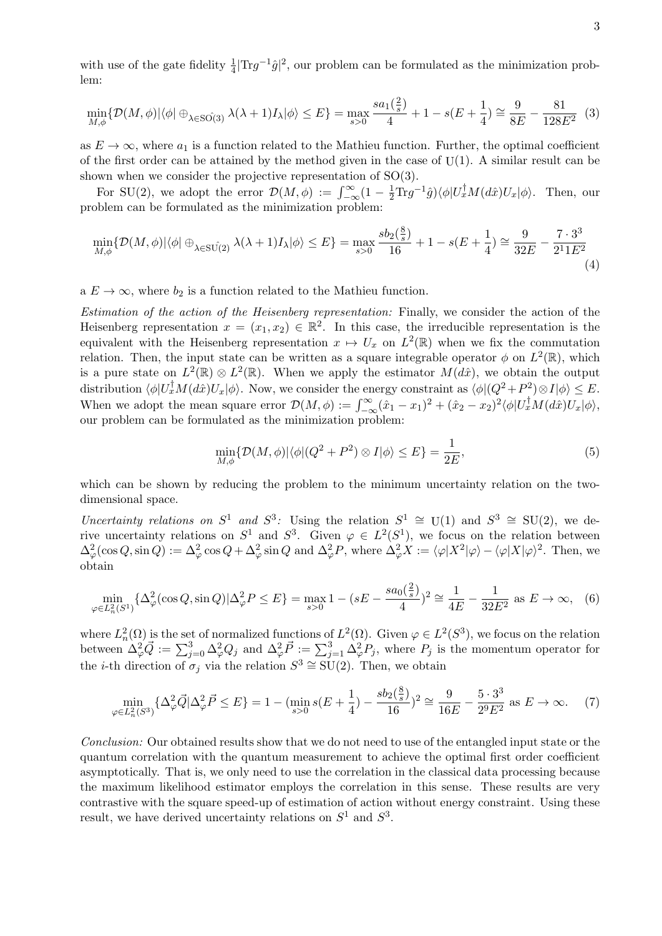with use of the gate fidelity  $\frac{1}{4}|\text{Tr}g^{-1}\hat{g}|^2$ , our problem can be formulated as the minimization problem:

$$
\min_{M,\phi} \{ \mathcal{D}(M,\phi) | \langle \phi | \oplus_{\lambda \in \mathcal{SO}(3)} \lambda(\lambda+1) I_{\lambda} | \phi \rangle \le E \} = \max_{s>0} \frac{sa_1(\frac{2}{s})}{4} + 1 - s(E + \frac{1}{4}) \cong \frac{9}{8E} - \frac{81}{128E^2} \tag{3}
$$

as  $E \to \infty$ , where  $a_1$  is a function related to the Mathieu function. Further, the optimal coefficient of the first order can be attained by the method given in the case of  $U(1)$ . A similar result can be shown when we consider the projective representation of SO(3).

For SU(2), we adopt the error  $\mathcal{D}(M,\phi) := \int_{-\infty}^{\infty} (1 - \frac{1}{2} Tr g^{-1} \hat{g}) \langle \phi | U_x^{\dagger} M(d\hat{x}) U_x | \phi \rangle$ . Then, our problem can be formulated as the minimization problem:

$$
\min_{M,\phi} \{ \mathcal{D}(M,\phi) | \langle \phi | \oplus_{\lambda \in \text{SU(2)}} \lambda (\lambda + 1) I_{\lambda} | \phi \rangle \le E \} = \max_{s>0} \frac{s b_2(\frac{8}{s})}{16} + 1 - s(E + \frac{1}{4}) \cong \frac{9}{32E} - \frac{7 \cdot 3^3}{2^1 1 E^2} \tag{4}
$$

a  $E \to \infty$ , where  $b_2$  is a function related to the Mathieu function.

Estimation of the action of the Heisenberg representation: Finally, we consider the action of the Heisenberg representation  $x = (x_1, x_2) \in \mathbb{R}^2$ . In this case, the irreducible representation is the equivalent with the Heisenberg representation  $x \mapsto U_x$  on  $L^2(\mathbb{R})$  when we fix the commutation relation. Then, the input state can be written as a square integrable operator  $\phi$  on  $L^2(\mathbb{R})$ , which is a pure state on  $L^2(\mathbb{R}) \otimes L^2(\mathbb{R})$ . When we apply the estimator  $M(d\hat{x})$ , we obtain the output distribution  $\langle \phi | U_x^{\dagger} M(d\hat{x}) U_x | \phi \rangle$ . Now, we consider the energy constraint as  $\langle \phi | (Q^2 + P^2) \otimes I | \phi \rangle \leq E$ . When we adopt the mean square error  $\mathcal{D}(M,\phi) := \int_{-\infty}^{\infty} (\hat{x}_1 - x_1)^2 + (\hat{x}_2 - x_2)^2 \langle \phi | U_x^{\dagger} M(d\hat{x}) U_x | \phi \rangle$ , our problem can be formulated as the minimization problem:

$$
\min_{M,\phi} \{ \mathcal{D}(M,\phi) | \langle \phi | (Q^2 + P^2) \otimes I | \phi \rangle \le E \} = \frac{1}{2E},\tag{5}
$$

which can be shown by reducing the problem to the minimum uncertainty relation on the twodimensional space.

Uncertainty relations on  $S^1$  and  $S^3$ : Using the relation  $S^1 \cong U(1)$  and  $S^3 \cong SU(2)$ , we derive uncertainty relations on  $S^1$  and  $S^3$ . Given  $\varphi \in L^2(S^1)$ , we focus on the relation between  $\Delta_{\varphi}^2(\cos Q, \sin Q) := \Delta_{\varphi}^2 \cos Q + \Delta_{\varphi}^2 \sin Q$  and  $\Delta_{\varphi}^2 P$ , where  $\Delta_{\varphi}^2 X := \langle \varphi | X^2 | \varphi \rangle - \langle \varphi | X | \varphi \rangle^2$ . Then, we obtain

$$
\min_{\varphi \in L_n^2(S^1)} \{ \Delta_{\varphi}^2(\cos Q, \sin Q) | \Delta_{\varphi}^2 P \le E \} = \max_{s > 0} 1 - (sE - \frac{s a_0(\frac{2}{s})}{4})^2 \cong \frac{1}{4E} - \frac{1}{32E^2} \text{ as } E \to \infty,
$$
 (6)

where  $L_n^2(\Omega)$  is the set of normalized functions of  $L^2(\Omega)$ . Given  $\varphi \in L^2(S^3)$ , we focus on the relation between  $\Delta_{\varphi}^2 \vec{Q} := \sum_{j=0}^3 \Delta_{\varphi}^2 Q_j$  and  $\Delta_{\varphi}^2 \vec{P} := \sum_{j=1}^3 \Delta_{\varphi}^2 P_j$ , where  $P_j$  is the momentum operator for the *i*-th direction of  $\sigma_j$  via the relation  $S^3 \cong SU(2)$ . Then, we obtain

$$
\min_{\varphi \in L_n^2(S^3)} \{ \Delta_{\varphi}^2 \vec{Q} | \Delta_{\varphi}^2 \vec{P} \le E \} = 1 - (\min_{s > 0} s(E + \frac{1}{4}) - \frac{s b_2(\frac{8}{s})}{16})^2 \cong \frac{9}{16E} - \frac{5 \cdot 3^3}{2^9 E^2} \text{ as } E \to \infty. \tag{7}
$$

Conclusion: Our obtained results show that we do not need to use of the entangled input state or the quantum correlation with the quantum measurement to achieve the optimal first order coefficient asymptotically. That is, we only need to use the correlation in the classical data processing because the maximum likelihood estimator employs the correlation in this sense. These results are very contrastive with the square speed-up of estimation of action without energy constraint. Using these result, we have derived uncertainty relations on  $S^1$  and  $S^3$ .